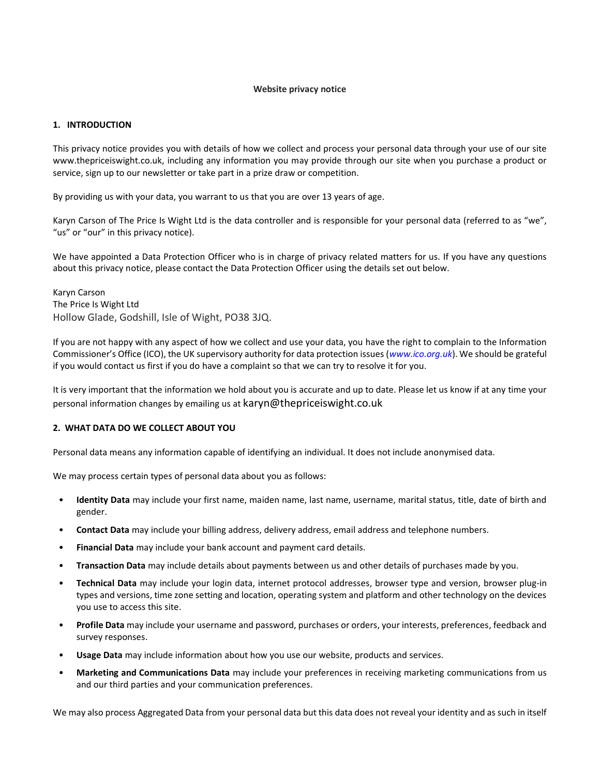### **Website privacy notice**

## **1. INTRODUCTION**

This privacy notice provides you with details of how we collect and process your personal data through your use of our site www.thepriceiswight.co.uk, including any information you may provide through our site when you purchase a product or service, sign up to our newsletter or take part in a prize draw or competition.

By providing us with your data, you warrant to us that you are over 13 years of age.

Karyn Carson of The Price Is Wight Ltd is the data controller and is responsible for your personal data (referred to as "we", "us" or "our" in this privacy notice).

We have appointed a Data Protection Officer who is in charge of privacy related matters for us. If you have any questions about this privacy notice, please contact the Data Protection Officer using the details set out below.

Karyn Carson The Price Is Wight Ltd Hollow Glade, Godshill, Isle of Wight, PO38 3JQ.

If you are not happy with any aspect of how we collect and use your data, you have the right to complain to the Information Commissioner's Office (ICO), the UK supervisory authority for data protection issues (*[www.ico.org.uk](http://www.ico.org.uk/)*). We should be grateful if you would contact us first if you do have a complaint so that we can try to resolve it for you.

It is very important that the information we hold about you is accurate and up to date. Please let us know if at any time your personal information changes by emailing us at karyn@thepriceiswight.co.uk

## **2. WHAT DATA DO WE COLLECT ABOUT YOU**

Personal data means any information capable of identifying an individual. It does not include anonymised data.

We may process certain types of personal data about you as follows:

- **Identity Data** may include your first name, maiden name, last name, username, marital status, title, date of birth and gender.
- **Contact Data** may include your billing address, delivery address, email address and telephone numbers.
- **Financial Data** may include your bank account and payment card details.
- **Transaction Data** may include details about payments between us and other details of purchases made by you.
- **Technical Data** may include your login data, internet protocol addresses, browser type and version, browser plug-in types and versions, time zone setting and location, operating system and platform and other technology on the devices you use to access this site.
- **Profile Data** may include your username and password, purchases or orders, your interests, preferences, feedback and survey responses.
- **Usage Data** may include information about how you use our website, products and services.
- **Marketing and Communications Data** may include your preferences in receiving marketing communications from us and our third parties and your communication preferences.

We may also process Aggregated Data from your personal data but this data does not reveal your identity and as such in itself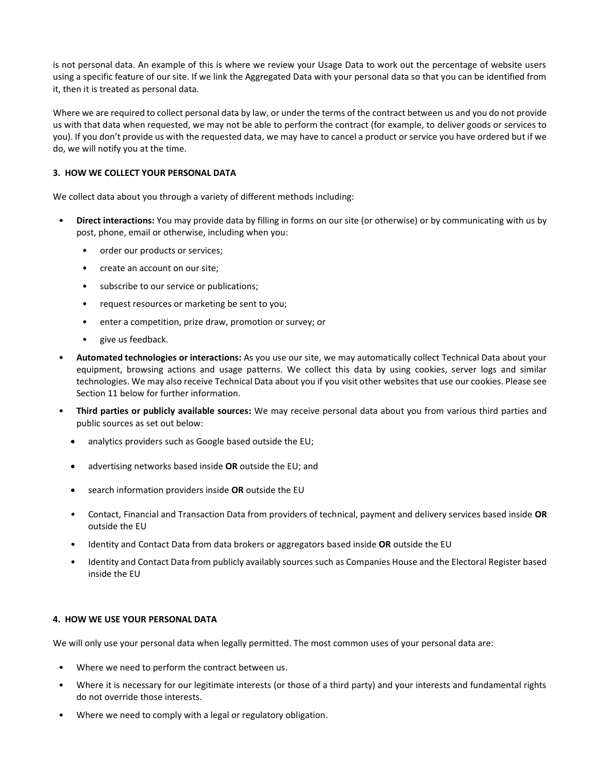is not personal data. An example of this is where we review your Usage Data to work out the percentage of website users using a specific feature of our site. If we link the Aggregated Data with your personal data so that you can be identified from it, then it is treated as personal data.

Where we are required to collect personal data by law, or under the terms of the contract between us and you do not provide us with that data when requested, we may not be able to perform the contract (for example, to deliver goods or services to you). If you don't provide us with the requested data, we may have to cancel a product or service you have ordered but if we do, we will notify you at the time.

# **3. HOW WE COLLECT YOUR PERSONAL DATA**

We collect data about you through a variety of different methods including:

- **Direct interactions:** You may provide data by filling in forms on our site (or otherwise) or by communicating with us by post, phone, email or otherwise, including when you:
	- order our products or services;
	- create an account on our site;
	- subscribe to our service or publications;
	- request resources or marketing be sent to you;
	- enter a competition, prize draw, promotion or survey; or
	- give us feedback.
- **Automated technologies or interactions:** As you use our site, we may automatically collect Technical Data about your equipment, browsing actions and usage patterns. We collect this data by using cookies, server logs and similar technologies. We may also receive Technical Data about you if you visit other websites that use our cookies. Please see Section 11 below for further information.
- **Third parties or publicly available sources:** We may receive personal data about you from various third parties and public sources as set out below:
	- analytics providers such as Google based outside the EU;
	- advertising networks based inside **OR** outside the EU; and
	- search information providers inside **OR** outside the EU
	- Contact, Financial and Transaction Data from providers of technical, payment and delivery services based inside **OR** outside the EU
	- Identity and Contact Data from data brokers or aggregators based inside **OR** outside the EU
	- Identity and Contact Data from publicly availably sources such as Companies House and the Electoral Register based inside the EU

# **4. HOW WE USE YOUR PERSONAL DATA**

We will only use your personal data when legally permitted. The most common uses of your personal data are:

- Where we need to perform the contract between us.
- Where it is necessary for our legitimate interests (or those of a third party) and your interests and fundamental rights do not override those interests.
- Where we need to comply with a legal or regulatory obligation.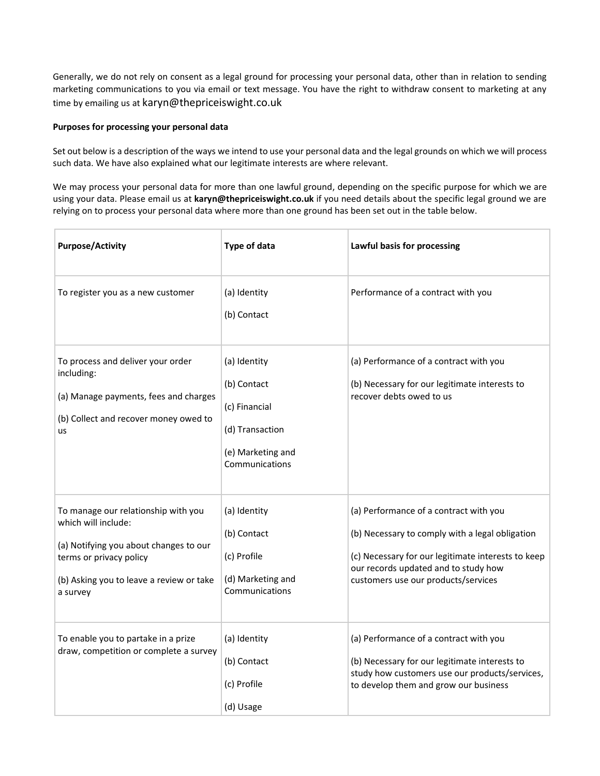Generally, we do not rely on consent as a legal ground for processing your personal data, other than in relation to sending marketing communications to you via email or text message. You have the right to withdraw consent to marketing at any time by emailing us at karyn@thepriceiswight.co.uk

# **Purposes for processing your personal data**

Set out below is a description of the ways we intend to use your personal data and the legal grounds on which we will process such data. We have also explained what our legitimate interests are where relevant.

We may process your personal data for more than one lawful ground, depending on the specific purpose for which we are using your data. Please email us at **karyn@thepriceiswight.co.uk** if you need details about the specific legal ground we are relying on to process your personal data where more than one ground has been set out in the table below.

| <b>Purpose/Activity</b>                                                                                                                                                                 | Type of data                                                                                           | Lawful basis for processing                                                                                                                                                                                                    |
|-----------------------------------------------------------------------------------------------------------------------------------------------------------------------------------------|--------------------------------------------------------------------------------------------------------|--------------------------------------------------------------------------------------------------------------------------------------------------------------------------------------------------------------------------------|
| To register you as a new customer                                                                                                                                                       | (a) Identity<br>(b) Contact                                                                            | Performance of a contract with you                                                                                                                                                                                             |
| To process and deliver your order<br>including:<br>(a) Manage payments, fees and charges<br>(b) Collect and recover money owed to<br>us                                                 | (a) Identity<br>(b) Contact<br>(c) Financial<br>(d) Transaction<br>(e) Marketing and<br>Communications | (a) Performance of a contract with you<br>(b) Necessary for our legitimate interests to<br>recover debts owed to us                                                                                                            |
| To manage our relationship with you<br>which will include:<br>(a) Notifying you about changes to our<br>terms or privacy policy<br>(b) Asking you to leave a review or take<br>a survey | (a) Identity<br>(b) Contact<br>(c) Profile<br>(d) Marketing and<br>Communications                      | (a) Performance of a contract with you<br>(b) Necessary to comply with a legal obligation<br>(c) Necessary for our legitimate interests to keep<br>our records updated and to study how<br>customers use our products/services |
| To enable you to partake in a prize<br>draw, competition or complete a survey                                                                                                           | (a) Identity<br>(b) Contact<br>(c) Profile<br>(d) Usage                                                | (a) Performance of a contract with you<br>(b) Necessary for our legitimate interests to<br>study how customers use our products/services,<br>to develop them and grow our business                                             |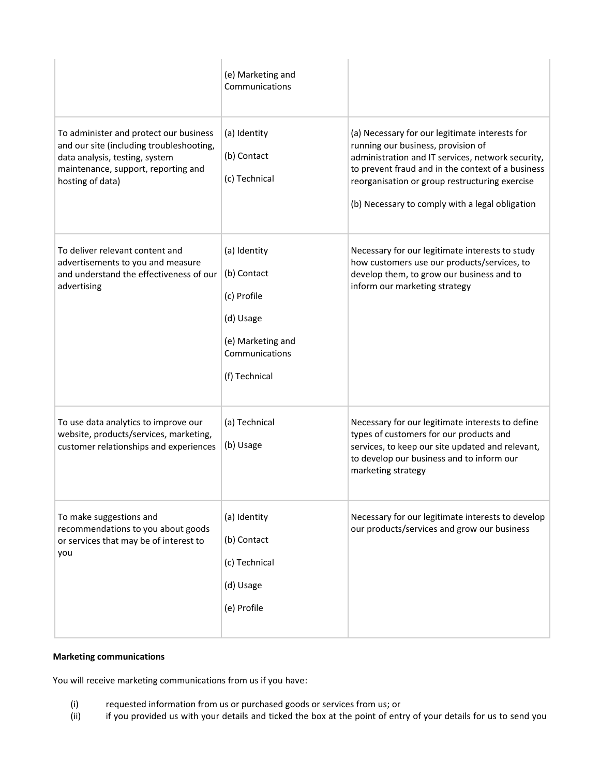|                                                                                                                                                                                 | (e) Marketing and<br>Communications                                                                             |                                                                                                                                                                                                                                                                                                     |
|---------------------------------------------------------------------------------------------------------------------------------------------------------------------------------|-----------------------------------------------------------------------------------------------------------------|-----------------------------------------------------------------------------------------------------------------------------------------------------------------------------------------------------------------------------------------------------------------------------------------------------|
| To administer and protect our business<br>and our site (including troubleshooting,<br>data analysis, testing, system<br>maintenance, support, reporting and<br>hosting of data) | (a) Identity<br>(b) Contact<br>(c) Technical                                                                    | (a) Necessary for our legitimate interests for<br>running our business, provision of<br>administration and IT services, network security,<br>to prevent fraud and in the context of a business<br>reorganisation or group restructuring exercise<br>(b) Necessary to comply with a legal obligation |
| To deliver relevant content and<br>advertisements to you and measure<br>and understand the effectiveness of our<br>advertising                                                  | (a) Identity<br>(b) Contact<br>(c) Profile<br>(d) Usage<br>(e) Marketing and<br>Communications<br>(f) Technical | Necessary for our legitimate interests to study<br>how customers use our products/services, to<br>develop them, to grow our business and to<br>inform our marketing strategy                                                                                                                        |
| To use data analytics to improve our<br>website, products/services, marketing,<br>customer relationships and experiences                                                        | (a) Technical<br>(b) Usage                                                                                      | Necessary for our legitimate interests to define<br>types of customers for our products and<br>services, to keep our site updated and relevant,<br>to develop our business and to inform our<br>marketing strategy                                                                                  |
| To make suggestions and<br>recommendations to you about goods<br>or services that may be of interest to<br>you                                                                  | (a) Identity<br>(b) Contact<br>(c) Technical<br>(d) Usage<br>(e) Profile                                        | Necessary for our legitimate interests to develop<br>our products/services and grow our business                                                                                                                                                                                                    |

## **Marketing communications**

You will receive marketing communications from us if you have:

- (i) requested information from us or purchased goods or services from us; or
- (ii) if you provided us with your details and ticked the box at the point of entry of your details for us to send you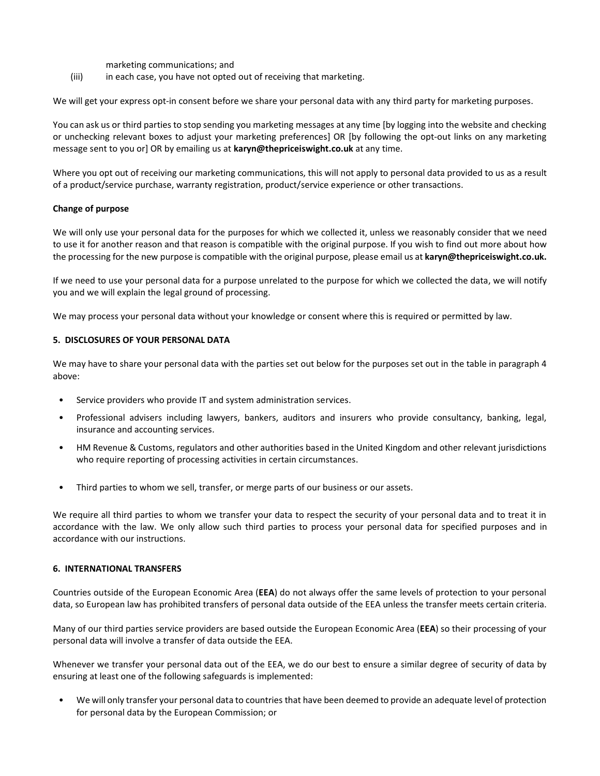marketing communications; and

(iii) in each case, you have not opted out of receiving that marketing.

We will get your express opt-in consent before we share your personal data with any third party for marketing purposes.

You can ask us or third parties to stop sending you marketing messages at any time [by logging into the website and checking or unchecking relevant boxes to adjust your marketing preferences] OR [by following the opt-out links on any marketing message sent to you or] OR by emailing us at **karyn@thepriceiswight.co.uk** at any time.

Where you opt out of receiving our marketing communications, this will not apply to personal data provided to us as a result of a product/service purchase, warranty registration, product/service experience or other transactions.

## **Change of purpose**

We will only use your personal data for the purposes for which we collected it, unless we reasonably consider that we need to use it for another reason and that reason is compatible with the original purpose. If you wish to find out more about how the processing for the new purpose is compatible with the original purpose, please email us at **karyn@thepriceiswight.co.uk.**

If we need to use your personal data for a purpose unrelated to the purpose for which we collected the data, we will notify you and we will explain the legal ground of processing.

We may process your personal data without your knowledge or consent where this is required or permitted by law.

## **5. DISCLOSURES OF YOUR PERSONAL DATA**

We may have to share your personal data with the parties set out below for the purposes set out in the table in paragraph 4 above:

- Service providers who provide IT and system administration services.
- Professional advisers including lawyers, bankers, auditors and insurers who provide consultancy, banking, legal, insurance and accounting services.
- HM Revenue & Customs, regulators and other authorities based in the United Kingdom and other relevant jurisdictions who require reporting of processing activities in certain circumstances.
- Third parties to whom we sell, transfer, or merge parts of our business or our assets.

We require all third parties to whom we transfer your data to respect the security of your personal data and to treat it in accordance with the law. We only allow such third parties to process your personal data for specified purposes and in accordance with our instructions.

### **6. INTERNATIONAL TRANSFERS**

Countries outside of the European Economic Area (**EEA**) do not always offer the same levels of protection to your personal data, so European law has prohibited transfers of personal data outside of the EEA unless the transfer meets certain criteria.

Many of our third parties service providers are based outside the European Economic Area (**EEA**) so their processing of your personal data will involve a transfer of data outside the EEA.

Whenever we transfer your personal data out of the EEA, we do our best to ensure a similar degree of security of data by ensuring at least one of the following safeguards is implemented:

• We will only transfer your personal data to countries that have been deemed to provide an adequate level of protection for personal data by the European Commission; or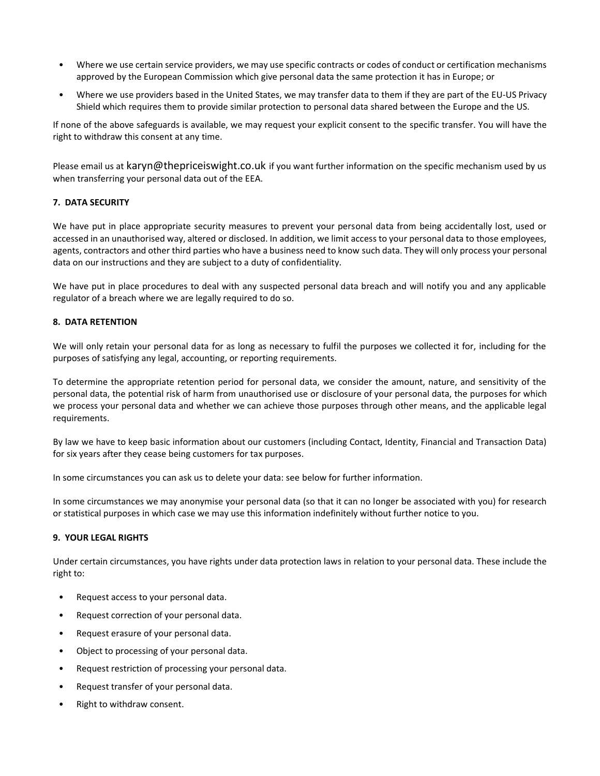- Where we use certain service providers, we may use specific contracts or codes of conduct or certification mechanisms approved by the European Commission which give personal data the same protection it has in Europe; or
- Where we use providers based in the United States, we may transfer data to them if they are part of the EU-US Privacy Shield which requires them to provide similar protection to personal data shared between the Europe and the US.

If none of the above safeguards is available, we may request your explicit consent to the specific transfer. You will have the right to withdraw this consent at any time.

Please email us at karyn@thepriceiswight.co.uk if you want further information on the specific mechanism used by us when transferring your personal data out of the EEA.

# **7. DATA SECURITY**

We have put in place appropriate security measures to prevent your personal data from being accidentally lost, used or accessed in an unauthorised way, altered or disclosed. In addition, we limit access to your personal data to those employees, agents, contractors and other third parties who have a business need to know such data. They will only process your personal data on our instructions and they are subject to a duty of confidentiality.

We have put in place procedures to deal with any suspected personal data breach and will notify you and any applicable regulator of a breach where we are legally required to do so.

# **8. DATA RETENTION**

We will only retain your personal data for as long as necessary to fulfil the purposes we collected it for, including for the purposes of satisfying any legal, accounting, or reporting requirements.

To determine the appropriate retention period for personal data, we consider the amount, nature, and sensitivity of the personal data, the potential risk of harm from unauthorised use or disclosure of your personal data, the purposes for which we process your personal data and whether we can achieve those purposes through other means, and the applicable legal requirements.

By law we have to keep basic information about our customers (including Contact, Identity, Financial and Transaction Data) for six years after they cease being customers for tax purposes.

In some circumstances you can ask us to delete your data: see below for further information.

In some circumstances we may anonymise your personal data (so that it can no longer be associated with you) for research or statistical purposes in which case we may use this information indefinitely without further notice to you.

# **9. YOUR LEGAL RIGHTS**

Under certain circumstances, you have rights under data protection laws in relation to your personal data. These include the right to:

- Request access to your personal data.
- Request correction of your personal data.
- Request erasure of your personal data.
- Object to processing of your personal data.
- Request restriction of processing your personal data.
- Request transfer of your personal data.
- Right to withdraw consent.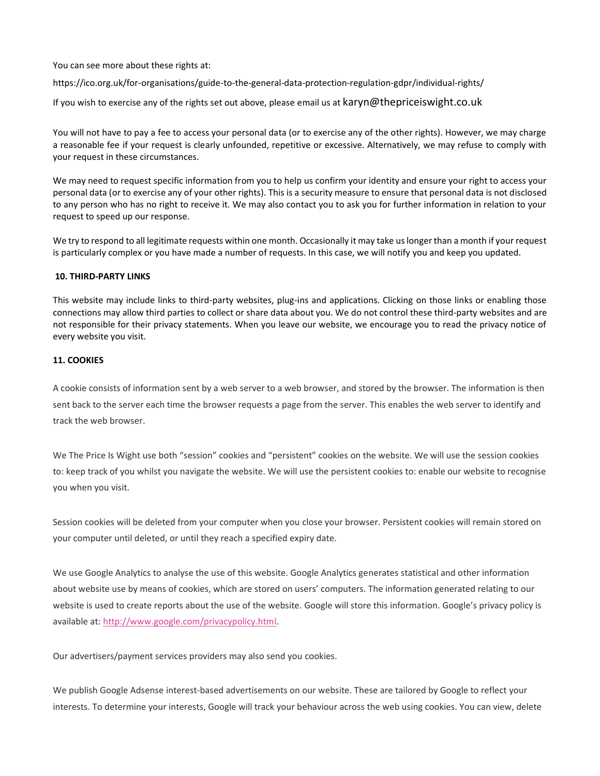You can see more about these rights at:

https://ico.org.uk/for-organisations/guide-to-the-general-data-protection-regulation-gdpr/individual-rights/

If you wish to exercise any of the rights set out above, please email us at karyn@thepriceiswight.co.uk

You will not have to pay a fee to access your personal data (or to exercise any of the other rights). However, we may charge a reasonable fee if your request is clearly unfounded, repetitive or excessive. Alternatively, we may refuse to comply with your request in these circumstances.

We may need to request specific information from you to help us confirm your identity and ensure your right to access your personal data (or to exercise any of your other rights). This is a security measure to ensure that personal data is not disclosed to any person who has no right to receive it. We may also contact you to ask you for further information in relation to your request to speed up our response.

We try to respond to all legitimate requests within one month. Occasionally it may take us longer than a month if your request is particularly complex or you have made a number of requests. In this case, we will notify you and keep you updated.

### **10. THIRD-PARTY LINKS**

This website may include links to third-party websites, plug-ins and applications. Clicking on those links or enabling those connections may allow third parties to collect or share data about you. We do not control these third-party websites and are not responsible for their privacy statements. When you leave our website, we encourage you to read the privacy notice of every website you visit.

## **11. COOKIES**

A cookie consists of information sent by a web server to a web browser, and stored by the browser. The information is then sent back to the server each time the browser requests a page from the server. This enables the web server to identify and track the web browser.

We The Price Is Wight use both "session" cookies and "persistent" cookies on the website. We will use the session cookies to: keep track of you whilst you navigate the website. We will use the persistent cookies to: enable our website to recognise you when you visit.

Session cookies will be deleted from your computer when you close your browser. Persistent cookies will remain stored on your computer until deleted, or until they reach a specified expiry date.

We use Google Analytics to analyse the use of this website. Google Analytics generates statistical and other information about website use by means of cookies, which are stored on users' computers. The information generated relating to our website is used to create reports about the use of the website. Google will store this information. Google's privacy policy is available at: [http://www.google.com/privacypolicy.html.](http://www.google.com/privacypolicy.html)

Our advertisers/payment services providers may also send you cookies.

We publish Google Adsense interest-based advertisements on our website. These are tailored by Google to reflect your interests. To determine your interests, Google will track your behaviour across the web using cookies. You can view, delete